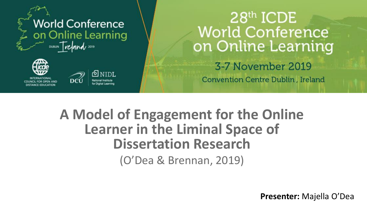





### 28th ICDE **World Conference** on Online Learning 3-7 November 2019

**Convention Centre Dublin, Ireland** 

### **A Model of Engagement for the Online Learner in the Liminal Space of Dissertation Research** (O'Dea & Brennan, 2019)

**Presenter:** Majella O'Dea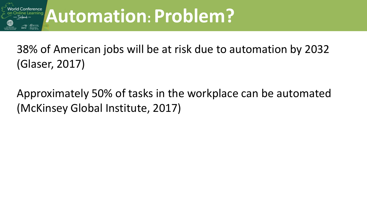

# **Automation: Problem? Automation: Problem?**

38% of American jobs will be at risk due to automation by 2032 (Glaser, 2017)

Approximately 50% of tasks in the workplace can be automated (McKinsey Global Institute, 2017)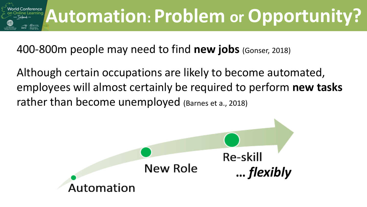

400-800m people may need to find **new jobs** (Gonser, 2018)

Although certain occupations are likely to become automated, employees will almost certainly be required to perform **new tasks** rather than become unemployed (Barnes et a., 2018)

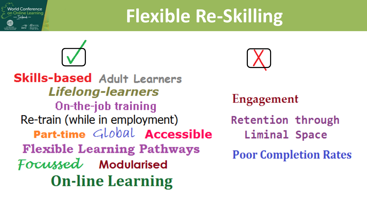

# **Flexible Re-Skilling**



**Skills-based Adult Learners Lifelong-learners** On-the-job training Re-train (while in employment) Part-time Global Accessible **Flexible Learning Pathways** Focussed Modularised **On-line Learning** 



Engagement **Retention through** Liminal Space **Poor Completion Rates**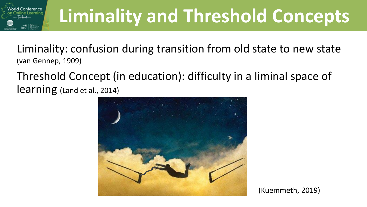

# **Liminality and Threshold Concepts**

Liminality: confusion during transition from old state to new state (van Gennep, 1909)

Threshold Concept (in education): difficulty in a liminal space of learning (Land et al., 2014)



(Kuemmeth, 2019)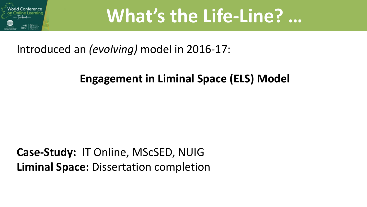

## **What's the Life-Line? …**

Introduced an *(evolving)* model in 2016-17:

#### **Engagement in Liminal Space (ELS) Model**

**Case-Study:** IT Online, MScSED, NUIG **Liminal Space:** Dissertation completion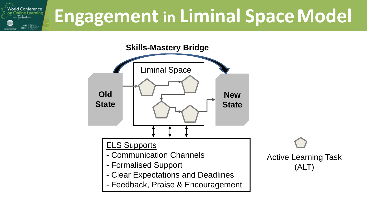



Active Learning Task (ALT)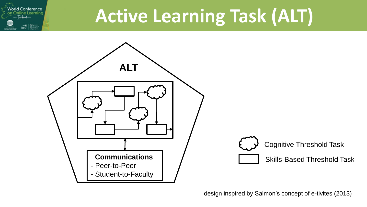# **Active Learning Task (ALT)**



 $\frac{\text{QNIDL}}{\text{MMDL}}$ 

design inspired by Salmon's concept of e-tivites (2013)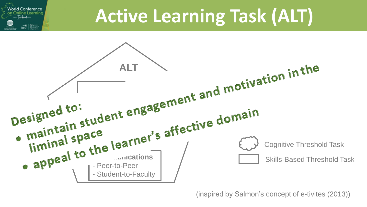## **Active Learning Task (ALT)**



 $\bigotimes_{\text{WIDL}}$ 

(inspired by Salmon's concept of e-tivites (2013))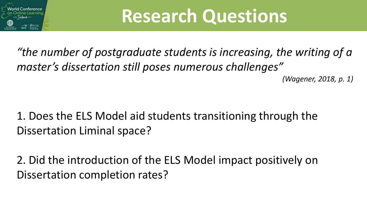

# **Research Questions**

*"the number of postgraduate students is increasing, the writing of a master's dissertation still poses numerous challenges" (Wagener, 2018, p. 1)*

### 1. Does the ELS Model aid students transitioning through the Dissertation Liminal space?

2. Did the introduction of the ELS Model impact positively on Dissertation completion rates?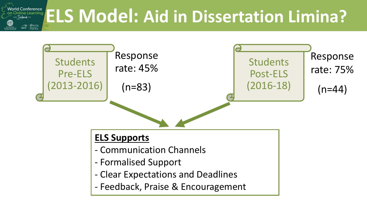

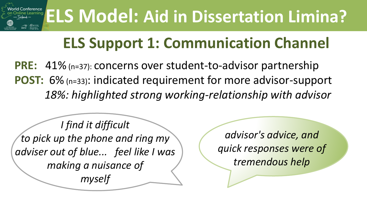

## **ELS Support 1: Communication Channel**

**PRE:** 41% (n=37): concerns over student-to-advisor partnership **POST:** 6% (n=33): indicated requirement for more advisor-support *18%: highlighted strong working-relationship with advisor*

*I find it difficult to pick up the phone and ring my adviser out of blue... feel like I was making a nuisance of myself*

*advisor's advice, and quick responses were of tremendous help*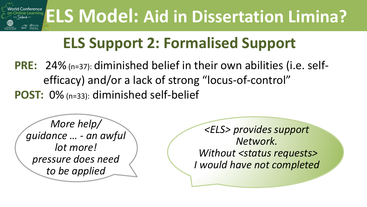

## **ELS Support 2: Formalised Support**

**PRE:** 24% (n=37): diminished belief in their own abilities (i.e. selfefficacy) and/or a lack of strong "locus-of-control" **POST:** 0% (n=33): diminished self-belief

*More help/ guidance … - an awful lot more! pressure does need to be applied* 

*<ELS> provides support Network. Without <status requests> I would have not completed*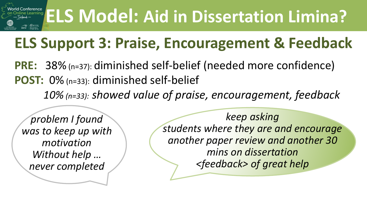# **ELS Model: Aid in Dissertation Limina?**

## **ELS Support 3: Praise, Encouragement & Feedback**

**PRE:** 38% (n=37): diminished self-belief (needed more confidence) **POST:** 0% (n=33): diminished self-belief *10% (n=33): showed value of praise, encouragement, feedback*

*problem I found was to keep up with motivation Without help … never completed*

*keep asking students where they are and encourage another paper review and another 30 mins on dissertation <feedback> of great help*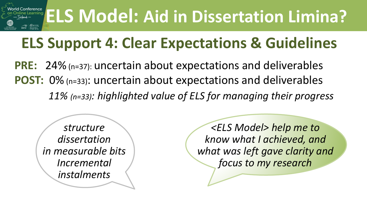#### **ELS Model: Aid in Dissertation Limina?**  $@$  NIDL

## **ELS Support 4: Clear Expectations & Guidelines**

**PRE:** 24% (n=37): uncertain about expectations and deliverables **POST:** 0% (n=33): uncertain about expectations and deliverables *11% (n=33): highlighted value of ELS for managing their progress*

*structure dissertation in measurable bits Incremental instalments*

*<ELS Model> help me to know what I achieved, and what was left gave clarity and focus to my research*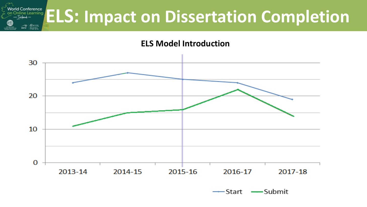

#### **ELS Model Introduction**



-Submit -Start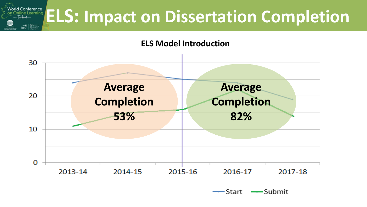

#### **ELS Model Introduction**



-Start -Submit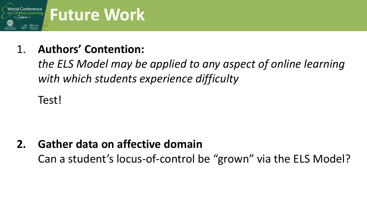

#### 1. **Authors' Contention:**

*the ELS Model may be applied to any aspect of online learning with which students experience difficulty*

Test!

**2. Gather data on affective domain** Can a student's locus-of-control be "grown" via the ELS Model?